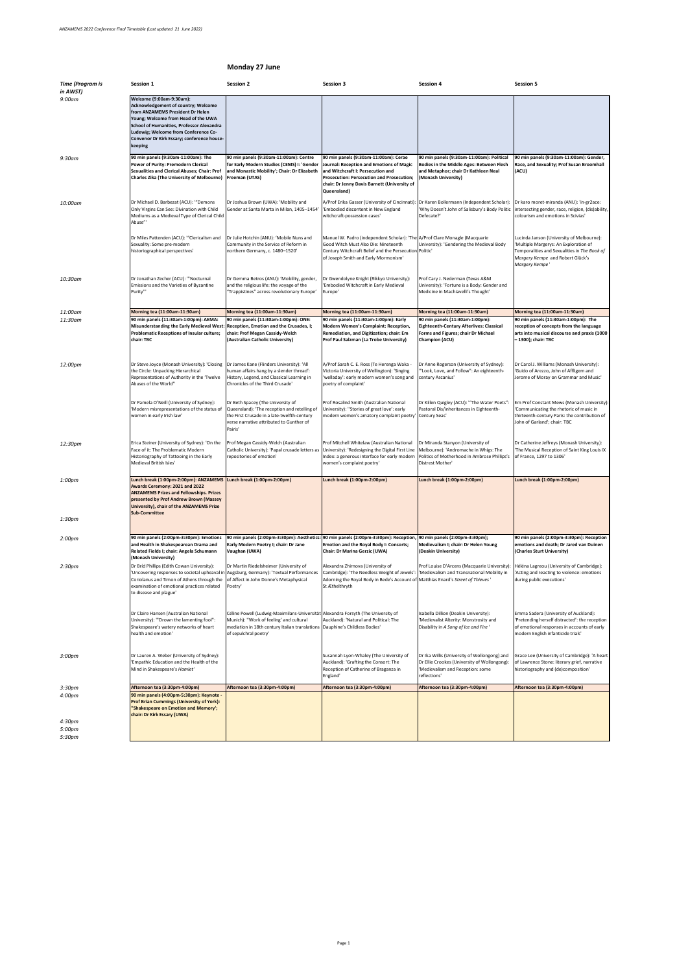## **Monday 27 June**

| <b>Time (Program is</b> | <b>Session 1</b>                                                                                                                                                                                                                                                                                | <b>Session 2</b>                                                                                                                                                                                                                       | <b>Session 3</b>                                                                                                                                                                                                                          | <b>Session 4</b>                                                                                                                                            | <b>Session 5</b>                                                                                                                                                                       |
|-------------------------|-------------------------------------------------------------------------------------------------------------------------------------------------------------------------------------------------------------------------------------------------------------------------------------------------|----------------------------------------------------------------------------------------------------------------------------------------------------------------------------------------------------------------------------------------|-------------------------------------------------------------------------------------------------------------------------------------------------------------------------------------------------------------------------------------------|-------------------------------------------------------------------------------------------------------------------------------------------------------------|----------------------------------------------------------------------------------------------------------------------------------------------------------------------------------------|
| in AWST)<br>$9:00$ am   | Welcome (9:00am-9:30am):<br><b>Acknowledgement of country; Welcome</b><br>from ANZAMEMS President Dr Helen<br>Young; Welcome from Head of the UWA<br>School of Humanities, Professor Alexandra<br>Ludewig; Welcome from Conference Co-<br>Convenor Dr Kirk Essary; conference house-<br>keeping |                                                                                                                                                                                                                                        |                                                                                                                                                                                                                                           |                                                                                                                                                             |                                                                                                                                                                                        |
| $9:30$ am               | 90 min panels (9:30am-11:00am): The<br><b>Power of Purity: Premodern Clerical</b><br><b>Sexualities and Clerical Abuses; Chair: Prof</b><br><b>Charles Zika (The University of Melbourne)</b>                                                                                                   | 90 min panels (9:30am-11:00am): Centre<br>for Early Modern Studies (CEMS) I: 'Gender<br>and Monastic Mobility'; Chair: Dr Elizabeth<br><b>Freeman (UTAS)</b>                                                                           | 90 min panels (9:30am-11:00am): Cerae<br>Journal: Reception and Emotions of Magic<br>and Witchcraft I: Persecution and<br><b>Prosecution: Persecution and Prosecution;</b><br>chair: Dr Jenny Davis Barnett (University of<br>Queensland) | 90 min panels (9:30am-11:00am): Political<br><b>Bodies in the Middle Ages: Between Flesh</b><br>and Metaphor; chair Dr Kathleen Neal<br>(Monash University) | 90 min panels (9:30am-11:00am): Gender,<br>Race, and Sexuality; Prof Susan Broomhall<br>(ACU)                                                                                          |
| 10:00am                 | Dr Michael D. Barbezat (ACU): "Demons<br>Only Virgins Can See: Divination with Child<br>Mediums as a Medieval Type of Clerical Child<br>Abuse"                                                                                                                                                  | Dr Joshua Brown (UWA): 'Mobility and<br>Gender at Santa Marta in Milan, 1405-1454                                                                                                                                                      | A/Prof Erika Gasser (University of Cincinnati): Dr Karen Bollermann (Independent Scholar):<br>'Embodied discontent in New England<br>witchcraft-possession cases'                                                                         | 'Why Doesn't John of Salisbury's Body Politic<br>Defecate?'                                                                                                 | Dr karo moret-miranda (ANU): 'in-gr2ace:<br>intersecting gender, race, religion, (dis)ability,<br>colourism and emotions in Scivias'                                                   |
|                         | Dr Miles Pattenden (ACU): "Clericalism and<br>Sexuality: Some pre-modern<br>historiographical perspectives'                                                                                                                                                                                     | Dr Julie Hotchin (ANU): 'Mobile Nuns and<br>Community in the Service of Reform in<br>northern Germany, c. 1480-1520'                                                                                                                   | Manuel W. Padro (independent Scholar): 'The A/Prof Clare Monagle (Macquarie<br>Good Witch Must Also Die: Nineteenth<br>Century Witchcraft Belief and the Persecution Politic'<br>of Joseph Smith and Early Mormonism'                     | University): 'Gendering the Medieval Body                                                                                                                   | Lucinda Janson (University of Melbourne):<br>Multiple Margerys: An Exploration of<br>Temporalities and Sexualities in The Book of<br>Margery Kempe and Robert Glück's<br>Margery Kempe |
| 10:30am                 | Dr Jonathan Zecher (ACU): "Nocturnal<br>Emissions and the Varieties of Byzantine<br>Purity"'                                                                                                                                                                                                    | Dr Gemma Betros (ANU): 'Mobility, gender,<br>and the religious life: the voyage of the<br>"Trappistines" across revolutionary Europe'                                                                                                  | Dr Gwendolyne Knight (Rikkyo University):<br>'Embodied Witchcraft in Early Medieval<br>Europe'                                                                                                                                            | Prof Cary J. Nederman (Texas A&M<br>University): 'Fortune is a Body: Gender and<br>Medicine in Machiavelli's Thought'                                       |                                                                                                                                                                                        |
| 11:00am                 | Morning tea (11:00am-11:30am)                                                                                                                                                                                                                                                                   | Morning tea (11:00am-11:30am)                                                                                                                                                                                                          | Morning tea (11:00am-11:30am)                                                                                                                                                                                                             | Morning tea (11:00am-11:30am)                                                                                                                               | Morning tea (11:00am-11:30am)                                                                                                                                                          |
| 11:30am                 | 90 min panels (11:30am-1:00pm): AEMA:<br>Misunderstanding the Early Medieval West: Reception, Emotion and the Crusades, I;<br><b>Problematic Receptions of Insular culture;</b><br>chair: TBC                                                                                                   | 90 min panels (11:30am-1:00pm): ONE:<br><b>chair: Prof Megan Cassidy-Welch</b><br>(Australian Catholic University)                                                                                                                     | 90 min panels (11:30am-1:00pm): Early<br><b>Modern Women's Complaint: Reception,</b><br>Remediation, and Digitization; chair: Em<br><b>Prof Paul Salzman (La Trobe University)</b>                                                        | 90 min panels (11:30am-1:00pm):<br><b>Eighteenth-Century Afterlives: Classical</b><br><b>Forms and Figures; chair Dr Michael</b><br><b>Champion (ACU)</b>   | 90 min panels (11:30am-1:00pm): The<br>reception of concepts from the language<br>arts into musical discourse and praxis (1000<br>- 1300); chair: TBC                                  |
| 12:00pm                 | Dr Steve Joyce (Monash University): 'Closing  Dr James Kane (Flinders University): 'All<br>the Circle: Unpacking Hierarchical<br>Representations of Authority in the 'Twelve<br>Abuses of the World"                                                                                            | human affairs hang by a slender thread':<br>History, Legend, and Classical Learning in<br>Chronicles of the Third Crusade'                                                                                                             | A/Prof Sarah C. E. Ross (Te Herenga Waka -<br>Victoria University of Wellington): 'Singing<br>'welladay': early modern women's song and<br>poetry of complaint'                                                                           | Dr Anne Rogerson (University of Sydney):<br>"Look, Love, and Follow": An eighteenth-<br>century Ascanius'                                                   | Dr Carol J. Williams (Monash University):<br>'Guido of Arezzo, John of Affligem and<br>Jerome of Moray on Grammar and Music'                                                           |
|                         | Dr Pamela O'Neill (University of Sydney):<br>Modern misrepresentations of the status of<br>women in early Irish law'                                                                                                                                                                            | Dr Beth Spacey (The University of<br>Queensland): 'The reception and retelling of<br>the First Crusade in a late-twelfth-century<br>verse narrative attributed to Gunther of<br>Pairis'                                                | Prof Rosalind Smith (Australian National<br>University): "Stories of great love': early<br>modern women's amatory complaint poetry                                                                                                        | Dr Killen Quigley (ACU): "The Water Poets"<br>Pastoral Dis/inheritances in Eighteenth-<br>Century Seas'                                                     | Em Prof Constant Mews (Monash University):<br>'Communicating the rhetoric of music in<br>thirteenth-century Paris: the contribution of<br>John of Garland'; chair: TBC                 |
| 12:30pm                 | Erica Steiner (University of Sydney): 'On the<br>Face of it: The Problematic Modern<br>Historiography of Tattooing in the Early<br>Medieval British Isles'                                                                                                                                      | Prof Megan Cassidy-Welch (Australian<br>Catholic University): 'Papal crusade letters as<br>repositories of emotion'                                                                                                                    | Prof Mitchell Whitelaw (Australian National<br>University): 'Redesigning the Digital First Line<br>Index: a generous interface for early modern<br>women's complaint poetry'                                                              | Dr Miranda Stanyon (University of<br>Melbourne): 'Andromache in Whigs: The<br>Politics of Motherhood in Ambrose Phillips's<br>Distrest Mother'              | Dr Catherine Jeffreys (Monash University):<br>The Musical Reception of Saint King Louis IX<br>of France, 1297 to 1306'                                                                 |
| 1:00pm                  | Lunch break (1:00pm-2:00pm): ANZAMEMS Lunch break (1:00pm-2:00pm)<br>Awards Ceremony: 2021 and 2022<br><b>ANZAMEMS Prizes and Fellowships. Prizes</b><br>presented by Prof Andrew Brown (Massey<br><b>University), chair of the ANZAMEMS Prize</b><br><b>Sub-Committee</b>                      |                                                                                                                                                                                                                                        | Lunch break (1:00pm-2:00pm)                                                                                                                                                                                                               | Lunch break (1:00pm-2:00pm)                                                                                                                                 | Lunch break (1:00pm-2:00pm)                                                                                                                                                            |
| 1:30pm                  |                                                                                                                                                                                                                                                                                                 |                                                                                                                                                                                                                                        |                                                                                                                                                                                                                                           |                                                                                                                                                             |                                                                                                                                                                                        |
| 2:00 <sub>pm</sub>      | 90 min panels (2:00pm-3:30pm): Emotions<br>and Health in Shakespearean Drama and<br>Related Fields I; chair: Angela Schumann<br>(Monash University)                                                                                                                                             | 90 min panels (2:00pm-3:30pm): Aesthetics<br>Early Modern Poetry I; chair: Dr Jane<br>Vaughan (UWA)                                                                                                                                    | 90 min panels (2:00pm-3:30pm): Reception,<br><b>Emotion and the Royal Body I: Consorts;</b><br><b>Chair: Dr Marina Gerzic (UWA)</b>                                                                                                       | 90 min panels (2:00pm-3:30pm);<br>Medievalism I; chair: Dr Helen Young<br>(Deakin University)                                                               | 90 min panels (2:00pm-3:30pm): Reception<br>emotions and death; Dr Jared van Duinen<br>(Charles Sturt University)                                                                      |
| 2:30 <sub>pm</sub>      | Dr Bríd Phillips (Edith Cowan University):<br>Uncovering responses to societal upheaval in Augsburg, Germany): 'Textual Performances'<br>Coriolanus and Timon of Athens through the<br>examination of emotional practices related<br>to disease and plague'                                     | Dr Martin Riedelsheimer (University of<br>of Affect in John Donne's Metaphysical<br>Poetry'                                                                                                                                            | Alexandra Zhirnova (University of<br>Cambridge): 'The Needless Weight of Jewels':  'Medievalism and Transnational Mobility in<br>Adorning the Royal Body in Bede's Account of Matthias Enard's Street of Thieves'<br>St Æthelthryth       | Prof Louise D'Arcens (Macquarie University):                                                                                                                | Héléna Lagreou (University of Cambridge):<br>'Acting and reacting to violence: emotions<br>during public executions'                                                                   |
|                         | Dr Claire Hansen (Australian National<br>University): "Drown the lamenting fool":<br>Shakespeare's watery networks of heart<br>health and emotion'                                                                                                                                              | Céline Powell (Ludwig-Maximilans-Universität Alexandra Forsyth (The University of<br>Munich): "Work of feeling' and cultural<br>mediation in 18th century Italian translations   Dauphine's Childless Bodies'<br>of sepulchral poetry' | Auckland): 'Natural and Political: The                                                                                                                                                                                                    | Isabella Dillion (Deakin University):<br>'Medievalist Alterity: Monstrosity and<br>Disability in A Song of Ice and Fire '                                   | Emma Sadera (University of Auckland):<br>'Pretending herself distracted': the reception<br>of emotional responses in accounts of early<br>modern English infanticide trials'           |
| 3:00pm                  | Dr Lauren A. Weber (University of Sydney):<br>'Empathic Education and the Health of the<br>Mind in Shakespeare's Hamlet'                                                                                                                                                                        |                                                                                                                                                                                                                                        | Susannah Lyon-Whaley (The University of<br>Auckland): 'Grafting the Consort: The<br>Reception of Catherine of Braganza in<br>England'                                                                                                     | Dr Ellie Crookes (University of Wollongong):<br>'Medievalism and Reception: some<br>reflections'                                                            | Dr Ika Willis (University of Wollongong) and  Grace Lee (University of Cambridge): 'A heart<br>of Lawrence Stone: literary grief, narrative<br>historiography and (de)composition'     |
| 3:30pm                  | Afternoon tea (3:30pm-4:00pm)                                                                                                                                                                                                                                                                   | Afternoon tea (3:30pm-4:00pm)                                                                                                                                                                                                          | Afternoon tea (3:30pm-4:00pm)                                                                                                                                                                                                             | Afternoon tea (3:30pm-4:00pm)                                                                                                                               | Afternoon tea (3:30pm-4:00pm)                                                                                                                                                          |
| 4:00pm<br>4:30pm        | 90 min panels (4:00pm-5:30pm): Keynote -<br><b>Prof Brian Cummings (University of York):</b><br>"Shakespeare on Emotion and Memory';<br><b>chair: Dr Kirk Essary (UWA)</b>                                                                                                                      |                                                                                                                                                                                                                                        |                                                                                                                                                                                                                                           |                                                                                                                                                             |                                                                                                                                                                                        |
| 5:00pm                  |                                                                                                                                                                                                                                                                                                 |                                                                                                                                                                                                                                        |                                                                                                                                                                                                                                           |                                                                                                                                                             |                                                                                                                                                                                        |
| 5:30pm                  |                                                                                                                                                                                                                                                                                                 |                                                                                                                                                                                                                                        |                                                                                                                                                                                                                                           |                                                                                                                                                             |                                                                                                                                                                                        |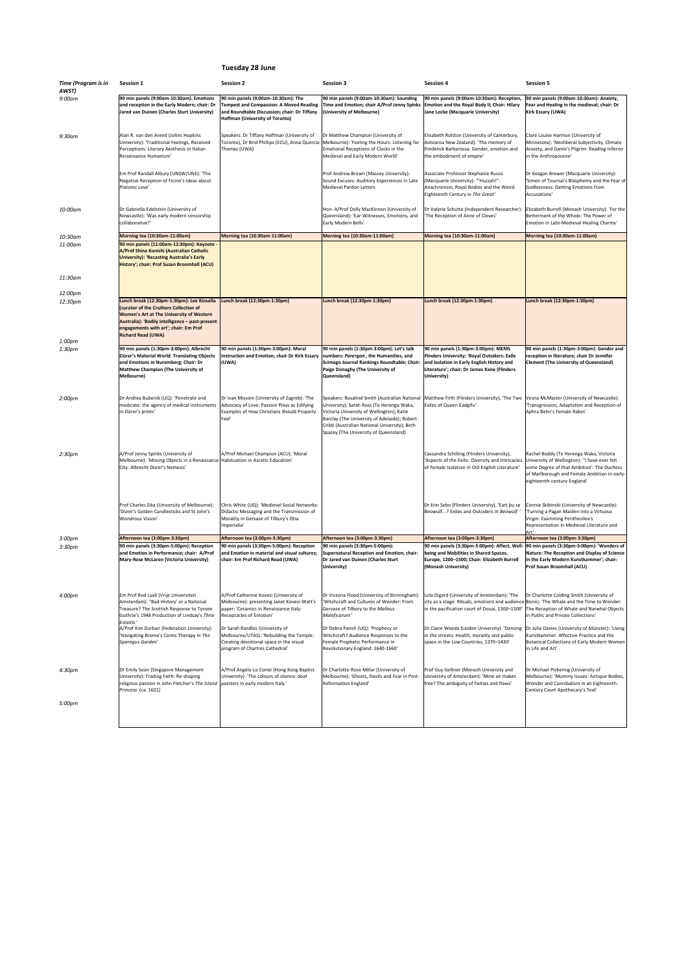## **Tuesday 28 June**

| <b>Time (Program is in</b><br>AWST) | <b>Session 1</b>                                                                                                                                                                                                                                                 | <b>Session 2</b>                                                                                                                                                         | <b>Session 3</b>                                                                                                                                                                                                                                                                 | <b>Session 4</b>                                                                                                                                                                                       | <b>Session 5</b>                                                                                                                                                                                                     |
|-------------------------------------|------------------------------------------------------------------------------------------------------------------------------------------------------------------------------------------------------------------------------------------------------------------|--------------------------------------------------------------------------------------------------------------------------------------------------------------------------|----------------------------------------------------------------------------------------------------------------------------------------------------------------------------------------------------------------------------------------------------------------------------------|--------------------------------------------------------------------------------------------------------------------------------------------------------------------------------------------------------|----------------------------------------------------------------------------------------------------------------------------------------------------------------------------------------------------------------------|
| $9:00$ am                           | 90 min panels (9:00am-10:30am): Emotions<br>and reception in the Early Modern; chair: Dr<br>Jared van Duinen (Charles Sturt University)                                                                                                                          | 90 min panels (9:00am-10:30am): The<br><b>Tempest and Compassion: A Moved Reading</b><br>and Roundtable Discussion; chair: Dr Tiffany<br>Hoffman (University of Toronto) | 90 min panels (9:00am-10:30am): Sounding<br>Time and Emotion; chair A/Prof Jenny Spinks<br>(University of Melbourne)                                                                                                                                                             | 90 min panels (9:00am-10:30am): Reception,<br><b>Emotion and the Royal Body II; Chair: Hilary</b><br>Jane Locke (Macquarie University)                                                                 | 90 min panels (9:00am-10:30am): Anxiety,<br>Fear and Healing in the medieval; chair: Dr<br><b>Kirk Essary (UWA)</b>                                                                                                  |
| $9:30$ am                           | Alan R. van den Arend (Johns Hopkins<br>University): 'Traditional Feelings, Received<br>Perceptions: Literary Aesthesis in Italian<br>Renaissance Humanism'                                                                                                      | Speakers: Dr Tiffany Hoffman (University of<br>Toronto), Dr Brid Phillips (ECU), Anna Quercia- Melbourne): 'Feeling the Hours: Listening for<br>Thomas (UWA)             | Dr Matthew Champion (University of<br>Emotional Receptions of Clocks in the<br>Medieval and Early Modern World'                                                                                                                                                                  | Elisabeth Rolston (University of Canterbury,<br>Aotearoa New Zealand): 'The memory of<br>Frederick Barbarossa: Gender, emotion and<br>the embodiment of empire'                                        | Clare Louise Harmon (University of<br>Minnesota): 'Neoliberal Subjectivity, Climate<br>Anxiety, and Dante's Pilgrim: Reading Inferno<br>in the Anthropocene'                                                         |
|                                     | Em Prof Randall Albury (UNSW/UNE): 'The<br>Negative Reception of Ficino's Ideas about<br>Platonic Love'                                                                                                                                                          |                                                                                                                                                                          | Prof Andrew Brown (Massey University):<br>Sound Excuses: Auditory Experiences in Late<br><b>Medieval Pardon Letters</b>                                                                                                                                                          | Associate Professor Stephanie Russo<br>(Macquarie University): "'Huzzah!":<br>Anachronism, Royal Bodies and the Weird<br>Eighteenth Century in The Great'                                              | Dr Keagan Brewer (Macquarie University):<br>'Simon of Tournai's Blasphemy and the Fear of<br>Godlessness: Getting Emotions from<br>Accusations'                                                                      |
| 10:00am                             | Dr Gabriella Edelstein (University of<br>Newcastle): 'Was early modern censorship<br>collaborative?'                                                                                                                                                             |                                                                                                                                                                          | Hon. A/Prof Dolly MacKinnon (University of<br>Queensland): 'Ear-Witnesses, Emotions, and<br>Early Modern Bells'                                                                                                                                                                  | Dr Valerie Schutte (Independent Researcher)<br>The Reception of Anne of Cleves'                                                                                                                        | Elizabeth Burrell (Monash University): 'For the<br>Betterment of the Whole: The Power of<br>Emotion in Late-Medieval Healing Charms'                                                                                 |
| 10:30am                             | Morning tea (10:30am-11:00am)                                                                                                                                                                                                                                    | Morning tea (10:30am-11:00am)                                                                                                                                            | Morning tea (10:30am-11:00am)                                                                                                                                                                                                                                                    | Morning tea (10:30am-11:00am)                                                                                                                                                                          | Morning tea (10:30am-11:00am)                                                                                                                                                                                        |
| 11:00am                             | 90 min panels (11:00am-12:30pm): Keynote -<br>A/Prof Shino Konishi (Australian Catholic<br><b>University): 'Recasting Australia's Early</b><br>History'; chair: Prof Susan Broomhall (ACU)                                                                       |                                                                                                                                                                          |                                                                                                                                                                                                                                                                                  |                                                                                                                                                                                                        |                                                                                                                                                                                                                      |
| 11:30am<br>12:00pm                  |                                                                                                                                                                                                                                                                  |                                                                                                                                                                          |                                                                                                                                                                                                                                                                                  |                                                                                                                                                                                                        |                                                                                                                                                                                                                      |
| 12:30pm                             | Lunch break (12:30pm-1:30pm): Lee Kinsella<br>(curator of the Cruthers Collection of<br><b>Women's Art at The University of Western</b><br>Australia): 'Bodily intelligence - past-present<br>engagements with art'; chair: Em Prof<br><b>Richard Read (UWA)</b> | Lunch break (12:30pm-1:30pm)                                                                                                                                             | Lunch break (12:30pm-1:30pm)                                                                                                                                                                                                                                                     | Lunch break (12:30pm-1:30pm)                                                                                                                                                                           | Lunch break (12:30pm-1:30pm)                                                                                                                                                                                         |
| 1:00pm<br>1:30pm                    | 90 min panels (1:30pm-3:00pm): Albrecht<br>Dürer's Material World: Translating Objects<br>and Emotions in Nuremberg; Chair: Dr<br><b>Matthew Champion (The University of</b><br><b>Melbourne)</b>                                                                | 90 min panels (1:30pm-3:00pm): Moral<br><b>Instruction and Emotion; chair Dr Kirk Essary</b><br>(UWA)                                                                    | 90 min panels (1:30pm-3:00pm): Let's talk<br>numbers: Parergon, the Humanities, and<br>Scimago Journal Rankings Roundtable; Chair:<br><b>Paige Donaghy (The University of</b><br>Queensland)                                                                                     | 90 min panels (1:30pm-3:00pm): MEMS<br><b>Flinders University: 'Royal Outsiders: Exile</b><br>and Isolation in Early English History and<br>Literature'; chair: Dr James Kane (Flinders<br>University) | 90 min panels (1:30pm-3:00pm): Gender and<br>reception in literature; chair Dr Jennifer<br><b>Clement (The University of Queensland)</b>                                                                             |
| 2:00 <sub>pm</sub>                  | Dr Andrea Bubenik (UQ): 'Penetrate and<br>medicate: the agency of medical instruments<br>in Dürer's prints'                                                                                                                                                      | Dr Ivan Missoni (University of Zagreb): 'The<br>Advocacy of Love: Passion Plays as Edifying<br><b>Examples of How Christians Should Properly</b><br> Feel'               | Speakers: Rosalind Smith (Australian National<br>University); Sarah Ross (Te Herenga Waka,<br>Victoria University of Wellington); Katie<br>Barclay (The University of Adelaide); Robert<br>Cribb (Australian National University); Beth<br>Spacey (The University of Queensland) | Matthew Firth (Flinders University), 'The Two<br>Exiles of Queen Eadgifu'                                                                                                                              | Vesna McMaster (University of Newcastle):<br>'Transgression, Adaptation and Reception of<br>Aphra Behn's Female Rakes'                                                                                               |
| 2:30 <sub>pm</sub>                  | A/Prof Jenny Spinks (University of<br>Melbourne): 'Moving Objects in a Renaissance   Habituation in Ascetic Education'<br>City: Albrecht Dürer's Nemesis'                                                                                                        | A/Prof Michael Champion (ACU): 'Moral                                                                                                                                    |                                                                                                                                                                                                                                                                                  | Cassandra Schilling (Flinders University),<br>'Aspects of the Exilic: Diversity and Intricacies<br>of Female Isolation in Old English Literature'                                                      | Rachel Boddy (Te Herenga Waka, Victoria<br>University of Wellington): "I have ever felt<br>some Degree of that Ambition': The Duchess<br>of Marlborough and Female Ambition in early-<br>eighteenth-century England' |
|                                     | Prof Charles Zika (University of Melbourne):<br>"Dürer's Golden Candlesticks and St John's<br><b>Wondrous Vision'</b>                                                                                                                                            | Chris White (UQ): 'Medieval Social Networks:<br>Didactic Messaging and the Transmission of<br>Morality in Gervase of Tilbury's Otia<br>Imperialia'                       |                                                                                                                                                                                                                                                                                  | Dr Erin Sebo (Flinders University), 'Eart bu se<br>Beowulf? Exiles and Outsiders in Beowulf'                                                                                                           | Connie Skibinski (University of Newcastle):<br>Turning a Pagan Maiden into a Virtuous<br>Virgin: Examining Penthesilea's<br>Representation in Medieval Literature and                                                |
| 3:00 <sub>pm</sub>                  | Afternoon tea (3:00pm-3:30pm)                                                                                                                                                                                                                                    | Afternoon tea (3:00pm-3:30pm)                                                                                                                                            | Afternoon tea (3:00pm-3:30pm)                                                                                                                                                                                                                                                    | Afternoon tea (3:00pm-3:30pm)                                                                                                                                                                          | Afternoon tea (3:00pm-3:30pm)                                                                                                                                                                                        |
| 3:30 <sub>pm</sub>                  | 90 min panels (3:30pm-5:00pm): Reception<br>and Emotion in Performance; chair: A/Prof<br><b>Mary-Rose McLaren (Victoria University)</b>                                                                                                                          | 90 min panels (3:30pm-5:00pm): Reception<br>and Emotion in material and visual cultures;<br>chair: Em Prof Richard Read (UWA)                                            | 90 min panels (3:30pm-5:00pm):<br>Supernatural Reception and Emotion; chair:<br>Dr Jared van Duinen (Charles Sturt<br>University)                                                                                                                                                | 90 min panels (3:30pm-5:00pm): Affect, Well-<br>being and Mobilities in Shared Spaces,<br>Europe, 1200-1500; Chair: Elizabeth Burrell<br>(Monash University)                                           | 90 min panels (3:30pm-5:00pm): 'Wonders of<br>Nature: The Reception and Display of Science<br>in the Early Modern Kunstkammer'; chair:<br><b>Prof Susan Broomhall (ACU)</b>                                          |
| 4:00pm                              | Em Prof Rod Lyall (Vrije Universiteit<br>Amsterdam): "Bad History' or a National<br>Treasure? The Scottish Response to Tyrone<br>Guthrie's 1948 Production of Lindsay's Thrie<br>Estaitis'                                                                       | A/Prof Catherine Kovesi (University of<br>Melbourne): presenting Janet Kovesi-Watt's<br>paper: 'Ceramics in Renaissance Italy:<br>Receptacles of Emotion'                | Dr Victoria Flood (University of Birmingham):<br>'Witchcraft and Cultures of Wonder: From<br>Gervase of Tilbury to the Malleus<br>Maleficarum'                                                                                                                                   | Lola Digard (University of Amsterdam): 'The<br>city as a stage: Rituals, emotions and audience Bonn): 'The Whale and the Time to Wonder:<br>in the pacification court of Douai, 1300-1500'             | Dr Charlotte Colding Smith (University of<br>The Reception of Whale and Narwhal Objects<br>in Public and Private Collections'                                                                                        |
|                                     | A/Prof Kim Durban (Federation University):<br>'Navigating Brome's Comic Therapy in The<br>Sparagus Garden'                                                                                                                                                       | Dr Sarah Randles (University of<br>Melbourne/UTAS): 'Rebuilding the Temple:<br>Creating devotional space in the visual<br>program of Chartres Cathedral'                 | Dr Debra Parish (UQ): 'Prophecy or<br>Witchcraft? Audience Responses to the<br>Female Prophetic Performance in<br>Revolutionary England: 1640-1660'                                                                                                                              | Dr Claire Weeda (Leiden University): 'Dancing<br>in the streets: Health, morality and public<br>space in the Low Countries, 1370-1430'                                                                 | Dr Julie Davies (University of Münster): 'Living<br>Kunstkammer: Affective Practice and the<br>Botanical Collections of Early Modern Women<br>in Life and Art'                                                       |
| 4:30pm                              | Dr Emily Soon (Singapore Management<br>University): Trading Faith: Re-shaping<br>religious passion in John Fletcher's The Island painters in early modern Italy.'<br>Princess (ca. 1621)                                                                         | A/Prof Angelo Lo Conte (Hong Kong Baptist<br>University): 'The colours of silence: deaf                                                                                  | Dr Charlotte-Rose Millar (University of<br>Melbourne): 'Ghosts, Devils and Fear in Post- University of Amsterdam): 'Mine air makes<br>Reformation England'                                                                                                                       | <b>Prof Guy Geltner (Monash University and</b><br>free? The ambiguity of fixities and flows'                                                                                                           | Dr Michael Pickering (University of<br>Melbourne): 'Mummy Issues: Antique Bodies,<br>Wonder and Cannibalism in an Eighteenth-<br>Century Court Apothecary's Text'                                                    |
| 5:00pm                              |                                                                                                                                                                                                                                                                  |                                                                                                                                                                          |                                                                                                                                                                                                                                                                                  |                                                                                                                                                                                                        |                                                                                                                                                                                                                      |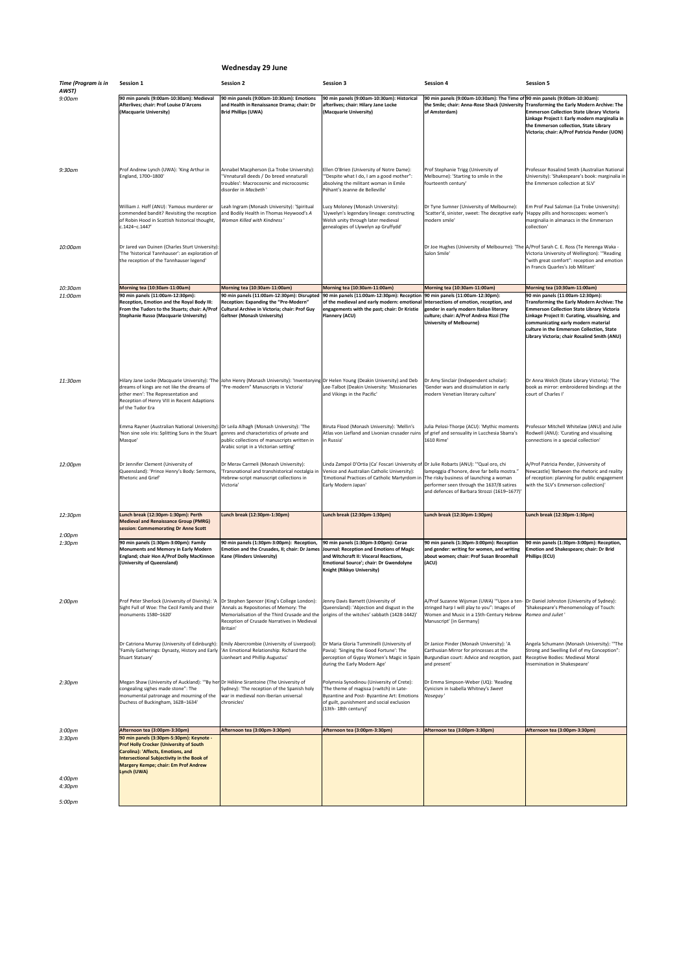## **Wednesday 29 June**

| <b>Time (Program is in</b><br>AWST) | <b>Session 1</b>                                                                                                                                                                                                                                    | <b>Session 2</b>                                                                                                                                                                                                                             | <b>Session 3</b>                                                                                                                                                                                                                                                                          | <b>Session 4</b>                                                                                                                                                                                              | <b>Session 5</b>                                                                                                                                                                                                                                                                                                          |
|-------------------------------------|-----------------------------------------------------------------------------------------------------------------------------------------------------------------------------------------------------------------------------------------------------|----------------------------------------------------------------------------------------------------------------------------------------------------------------------------------------------------------------------------------------------|-------------------------------------------------------------------------------------------------------------------------------------------------------------------------------------------------------------------------------------------------------------------------------------------|---------------------------------------------------------------------------------------------------------------------------------------------------------------------------------------------------------------|---------------------------------------------------------------------------------------------------------------------------------------------------------------------------------------------------------------------------------------------------------------------------------------------------------------------------|
| $9:00$ am                           | 90 min panels (9:00am-10:30am): Medieval                                                                                                                                                                                                            | 90 min panels (9:00am-10:30am): Emotions                                                                                                                                                                                                     | 90 min panels (9:00am-10:30am): Historical                                                                                                                                                                                                                                                | 90 min panels (9:00am-10:30am): The Time of 90 min panels (9:00am-10:30am):                                                                                                                                   |                                                                                                                                                                                                                                                                                                                           |
|                                     | Afterlives; chair: Prof Louise D'Arcens<br>(Macquarie University)                                                                                                                                                                                   | and Health in Renaissance Drama; chair: Dr<br><b>Brid Phillips (UWA)</b>                                                                                                                                                                     | afterlives; chair: Hilary Jane Locke<br>(Macquarie University)                                                                                                                                                                                                                            | the Smile; chair: Anna-Rose Shack (University Transforming the Early Modern Archive: The<br>of Amsterdam)                                                                                                     | <b>Emmerson Collection State Library Victoria</b><br>Linkage Project I: Early modern marginalia in<br>the Emmerson collection, State Library<br>Victoria; chair: A/Prof Patricia Pender (UON)                                                                                                                             |
| $9:30$ am                           | Prof Andrew Lynch (UWA): 'King Arthur in<br>England, 1700-1800'                                                                                                                                                                                     | Annabel Macpherson (La Trobe University):<br>''Vnnaturall deeds / Do breed vnnaturall<br>troubles': Macrocosmic and microcosmic<br>disorder in Macbeth                                                                                       | Ellen O'Brien (University of Notre Dame):<br>"Despite what I do, I am a good mother":<br>absolving the militant woman in Emile<br>Péhant's Jeanne de Belleville'                                                                                                                          | Prof Stephanie Trigg (University of<br>Melbourne): 'Starting to smile in the<br>fourteenth century'                                                                                                           | Professor Rosalind Smith (Australian National<br>University): 'Shakespeare's book: marginalia in<br>the Emmerson collection at SLV'                                                                                                                                                                                       |
|                                     | William J. Hoff (ANU): 'Famous murderer or<br>commended bandit? Revisiting the reception<br>of Robin Hood in Scottish historical thought,<br>c.1424-c.1447'                                                                                         | Leah Ingram (Monash University): 'Spiritual<br>and Bodily Health in Thomas Heywood's A<br>Woman Killed with Kindness'                                                                                                                        | Lucy Moloney (Monash University):<br>Llywelyn's legendary lineage: constructing<br>Welsh unity through later medieval<br>genealogies of Llywelyn ap Gruffydd'                                                                                                                             | Dr Tyne Sumner (University of Melbourne):<br>'Scatter'd, sinister, sweet: The deceptive early<br>modern smile'                                                                                                | Em Prof Paul Salzman (La Trobe University):<br>'Happy pills and horoscopes: women's<br>marginalia in almanacs in the Emmerson<br>collection'                                                                                                                                                                              |
| 10:00am                             | Dr Jared van Duinen (Charles Sturt University):<br>'The 'historical Tannhauser': an exploration of<br>the reception of the Tannhauser legend'                                                                                                       |                                                                                                                                                                                                                                              |                                                                                                                                                                                                                                                                                           | Dr Joe Hughes (University of Melbourne): 'The A/Prof Sarah C. E. Ross (Te Herenga Waka -<br>Salon Smile'                                                                                                      | Victoria University of Wellington): "Reading<br>"with great comfort": reception and emotion<br>in Francis Quarles's Job Militant'                                                                                                                                                                                         |
| 10:30am                             | Morning tea (10:30am-11:00am)                                                                                                                                                                                                                       | Morning tea (10:30am-11:00am)                                                                                                                                                                                                                | Morning tea (10:30am-11:00am)                                                                                                                                                                                                                                                             | Morning tea (10:30am-11:00am)                                                                                                                                                                                 | Morning tea (10:30am-11:00am)                                                                                                                                                                                                                                                                                             |
| 11:00am                             | 90 min panels (11:00am-12:30pm):<br>Reception, Emotion and the Royal Body III:<br>From the Tudors to the Stuarts; chair: A/Prof<br><b>Stephanie Russo (Macquarie University)</b>                                                                    | <b>Reception: Expanding the "Pre-Modern"</b><br>Cultural Archive in Victoria; chair: Prof Guy<br><b>Geltner (Monash University)</b>                                                                                                          | 90 min panels (11:00am-12:30pm): Disrupted  90 min panels (11:00am-12:30pm): Reception  90 min panels (11:00am-12:30pm):<br>of the medieval and early modern: emotional Intersections of emotion, reception, and<br>engagements with the past; chair: Dr Kristie<br><b>Flannery (ACU)</b> | gender in early modern Italian literary<br>culture; chair: A/Prof Andrea Rizzi (The<br><b>University of Melbourne)</b>                                                                                        | 90 min panels (11:00am-12:30pm):<br>Transforming the Early Modern Archive: The<br><b>Emmerson Collection State Library Victoria</b><br>Linkage Project II: Curating, visualising, and<br>communicating early modern material<br>culture in the Emmerson Collection, State<br>Library Victoria; chair Rosalind Smith (ANU) |
| 11:30am                             | dreams of kings are not like the dreams of<br>other men': The Representation and<br>Reception of Henry VIII in Recent Adaptions<br>of the Tudor Era                                                                                                 | Hilary Jane Locke (Macquarie University): 'The JJohn Henry (Monash University): 'Inventorying Dr Helen Young (Deakin University) and Deb<br>"Pre-modern" Manuscripts in Victoria'                                                            | Lee-Talbot (Deakin University: 'Missionaries<br>and Vikings in the Pacific'                                                                                                                                                                                                               | Dr Amy Sinclair (Independent scholar):<br>'Gender wars and dissimulation in early<br>modern Venetian literary culture'                                                                                        | Dr Anna Welch (State Library Victoria): 'The<br>book as mirror: embroidered bindings at the<br>court of Charles I                                                                                                                                                                                                         |
|                                     | Emma Rayner (Australian National University): Dr Leila Alhagh (Monash University): 'The<br>'Non sine sole iris: Splitting Suns in the Stuart<br>Masque'                                                                                             | genres and characteristics of private and<br>public collections of manuscripts written in<br>Arabic script in a Victorian setting'                                                                                                           | Biruta Flood (Monash University): 'Mellin's<br>Atlas von Liefland and Livonian crusader ruins<br>in Russia'                                                                                                                                                                               | Julia Pelosi-Thorpe (ACU): 'Mythic moments<br>of grief and sensuality in Lucchesia Sbarra's<br>1610 Rime'                                                                                                     | Professor Mitchell Whitelaw (ANU) and Julie<br>Rodwell (ANU): 'Curating and visualising<br>connections in a special collection'                                                                                                                                                                                           |
| 12:00pm                             | Dr Jennifer Clement (University of<br>Queensland): 'Prince Henry's Body: Sermons,<br><b>Rhetoric and Grief'</b>                                                                                                                                     | Dr Merav Carmeli (Monash University):<br>'Transnational and transhistorical nostalgia in<br>Hebrew-script manuscript collections in<br>Victoria'                                                                                             | Linda Zampol D'Ortia (Ca' Foscari University of Dr Julie Robarts (ANU): "Qual oro, chi<br>Venice and Australian Catholic University):<br>Emotional Practices of Catholic Martyrdom in The risky business of launching a woman<br>Early Modern Japan'                                      | lampeggia d'honore, deve far bella mostra."<br>performer seen through the 1637/8 satires<br>and defences of Barbara Strozzi (1619-1677)'                                                                      | A/Prof Patricia Pender, (University of<br>Newcastle) 'Between the rhetoric and reality<br>of reception: planning for public engagement<br>with the SLV's Emmerson collection)'                                                                                                                                            |
| 12:30pm                             | Lunch break (12:30pm-1:30pm): Perth<br><b>Medieval and Renaissance Group (PMRG)</b><br>session: Commemorating Dr Anne Scott                                                                                                                         | Lunch break (12:30pm-1:30pm)                                                                                                                                                                                                                 | Lunch break (12:30pm-1:30pm)                                                                                                                                                                                                                                                              | Lunch break (12:30pm-1:30pm)                                                                                                                                                                                  | Lunch break (12:30pm-1:30pm)                                                                                                                                                                                                                                                                                              |
| 1:00pm<br>1:30pm                    | 90 min panels (1:30pm-3:00pm): Family                                                                                                                                                                                                               | 90 min panels (1:30pm-3:00pm): Reception,                                                                                                                                                                                                    | 90 min panels (1:30pm-3:00pm): Cerae                                                                                                                                                                                                                                                      | 90 min panels (1:30pm-3:00pm): Reception                                                                                                                                                                      | 90 min panels (1:30pm-3:00pm): Reception,                                                                                                                                                                                                                                                                                 |
|                                     | <b>Monuments and Memory in Early Modern</b><br>England; chair Hon A/Prof Dolly MacKinnon<br>(University of Queensland)                                                                                                                              | Emotion and the Crusades, II; chair: Dr James  Journal: Reception and Emotions of Magic<br><b>Kane (Flinders University)</b>                                                                                                                 | and Witchcraft II: Visceral Reactions,<br><b>Emotional Source'; chair: Dr Gwendolyne</b><br><b>Knight (Rikkyo University)</b>                                                                                                                                                             | and gender: writing for women, and writing<br>about women; chair: Prof Susan Broomhall<br>(ACU)                                                                                                               | <b>Emotion and Shakespeare; chair: Dr Brid</b><br><b>Phillips (ECU)</b>                                                                                                                                                                                                                                                   |
| 2:00 <sub>pm</sub>                  | Prof Peter Sherlock (University of Divinity): 'A<br>Sight Full of Woe: The Cecil Family and their<br>monuments 1580-1620'                                                                                                                           | Dr Stephen Spencer (King's College London):<br>'Annals as Repositories of Memory: The<br>Memorialisation of the Third Crusade and the origins of the witches' sabbath (1428-1442)<br>Reception of Crusade Narratives in Medieval<br>Britain' | Jenny Davis Barnett (University of<br>Queensland): 'Abjection and disgust in the                                                                                                                                                                                                          | A/Prof Suzanne Wijsman (UWA) "'Upon a ten- Dr Daniel Johnston (University of Sydney):<br>stringed harp I will play to you": Images of<br>Women and Music in a 15th-Century Hebrew<br>Manuscript' [in Germany] | 'Shakespeare's Phenomenology of Touch:<br>Romeo and Juliet                                                                                                                                                                                                                                                                |
|                                     | Dr Catriona Murray (University of Edinburgh): Emily Abercrombie (University of Liverpool):<br>'Family Gatherings: Dynasty, History and Early  'An Emotional Relationship: Richard the<br>Stuart Statuary'                                           | Lionheart and Phillip Augustus'                                                                                                                                                                                                              | Dr Maria Gloria Tumminelli (University of<br>Pavia): 'Singing the Good Fortune': The<br>perception of Gypsy Women's Magic in Spain<br>during the Early Modern Age'                                                                                                                        | Dr Janice Pinder (Monash University): 'A<br>Carthusian Mirror for princesses at the<br>Burgundian court: Advice and reception, past<br>and present'                                                           | Angela Schumann (Monash University): "The<br>Strong and Swelling Evil of my Conception":<br>Receptive Bodies: Medieval Moral<br>Insemination in Shakespeare'                                                                                                                                                              |
| 2:30 <sub>pm</sub>                  | Megan Shaw (University of Auckland): ""By her Dr Hélène Sirantoine (The University of<br>congealing sighes made stone": The<br>monumental patronage and mourning of the<br>Duchess of Buckingham, 1628-1634'                                        | Sydney): 'The reception of the Spanish holy<br>war in medieval non-Iberian universal<br>chronicles'                                                                                                                                          | Polymnia Synodinou (University of Crete):<br>The theme of magissa (=witch) in Late-<br>Byzantine and Post- Byzantine Art: Emotions<br>of guilt, punishment and social exclusion<br>(13th-18th century)'                                                                                   | Dr Emma Simpson-Weber (UQ): 'Reading<br>Cynicism in Isabella Whitney's Sweet<br>Nosegay'                                                                                                                      |                                                                                                                                                                                                                                                                                                                           |
| 3:00pm                              | Afternoon tea (3:00pm-3:30pm)                                                                                                                                                                                                                       | Afternoon tea (3:00pm-3:30pm)                                                                                                                                                                                                                | Afternoon tea (3:00pm-3:30pm)                                                                                                                                                                                                                                                             | Afternoon tea (3:00pm-3:30pm)                                                                                                                                                                                 | Afternoon tea (3:00pm-3:30pm)                                                                                                                                                                                                                                                                                             |
| 3:30pm<br>4:00pm<br>4:30pm          | 90 min panels (3:30pm-5:30pm): Keynote -<br><b>Prof Holly Crocker (University of South</b><br>Carolina): 'Affects, Emotions, and<br><b>Intersectional Subjectivity in the Book of</b><br><b>Margery Kempe; chair: Em Prof Andrew</b><br>Lynch (UWA) |                                                                                                                                                                                                                                              |                                                                                                                                                                                                                                                                                           |                                                                                                                                                                                                               |                                                                                                                                                                                                                                                                                                                           |

| 4.30µ111 |  |  |  |
|----------|--|--|--|
|          |  |  |  |
|          |  |  |  |
| 5:00pm   |  |  |  |
|          |  |  |  |